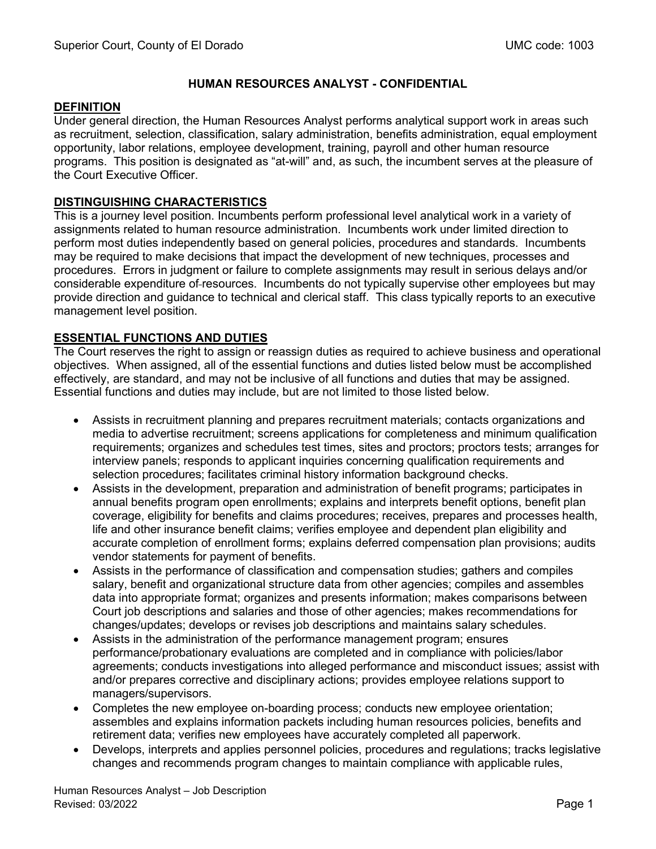## **HUMAN RESOURCES ANALYST - CONFIDENTIAL**

#### **DEFINITION**

Under general direction, the Human Resources Analyst performs analytical support work in areas such as recruitment, selection, classification, salary administration, benefits administration, equal employment opportunity, labor relations, employee development, training, payroll and other human resource programs. This position is designated as "at-will" and, as such, the incumbent serves at the pleasure of the Court Executive Officer.

## **DISTINGUISHING CHARACTERISTICS**

This is a journey level position. Incumbents perform professional level analytical work in a variety of assignments related to human resource administration. Incumbents work under limited direction to perform most duties independently based on general policies, procedures and standards. Incumbents may be required to make decisions that impact the development of new techniques, processes and procedures. Errors in judgment or failure to complete assignments may result in serious delays and/or considerable expenditure of-resources. Incumbents do not typically supervise other employees but may provide direction and guidance to technical and clerical staff. This class typically reports to an executive management level position.

## **ESSENTIAL FUNCTIONS AND DUTIES**

The Court reserves the right to assign or reassign duties as required to achieve business and operational objectives. When assigned, all of the essential functions and duties listed below must be accomplished effectively, are standard, and may not be inclusive of all functions and duties that may be assigned. Essential functions and duties may include, but are not limited to those listed below.

- Assists in recruitment planning and prepares recruitment materials; contacts organizations and media to advertise recruitment; screens applications for completeness and minimum qualification requirements; organizes and schedules test times, sites and proctors; proctors tests; arranges for interview panels; responds to applicant inquiries concerning qualification requirements and selection procedures; facilitates criminal history information background checks.
- Assists in the development, preparation and administration of benefit programs; participates in annual benefits program open enrollments; explains and interprets benefit options, benefit plan coverage, eligibility for benefits and claims procedures; receives, prepares and processes health, life and other insurance benefit claims; verifies employee and dependent plan eligibility and accurate completion of enrollment forms; explains deferred compensation plan provisions; audits vendor statements for payment of benefits.
- Assists in the performance of classification and compensation studies; gathers and compiles salary, benefit and organizational structure data from other agencies; compiles and assembles data into appropriate format; organizes and presents information; makes comparisons between Court job descriptions and salaries and those of other agencies; makes recommendations for changes/updates; develops or revises job descriptions and maintains salary schedules.
- Assists in the administration of the performance management program; ensures performance/probationary evaluations are completed and in compliance with policies/labor agreements; conducts investigations into alleged performance and misconduct issues; assist with and/or prepares corrective and disciplinary actions; provides employee relations support to managers/supervisors.
- Completes the new employee on-boarding process; conducts new employee orientation; assembles and explains information packets including human resources policies, benefits and retirement data; verifies new employees have accurately completed all paperwork.
- Develops, interprets and applies personnel policies, procedures and regulations; tracks legislative changes and recommends program changes to maintain compliance with applicable rules,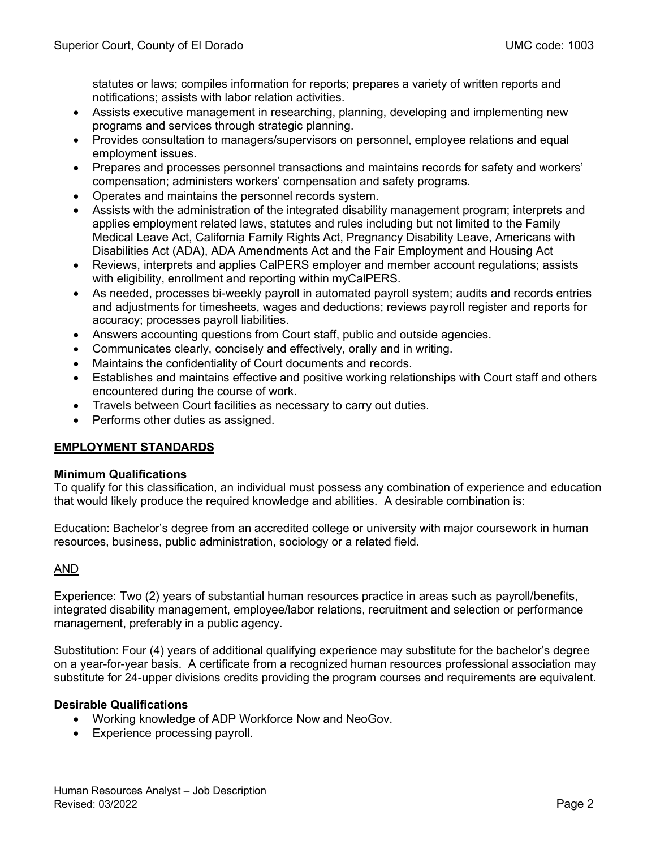statutes or laws; compiles information for reports; prepares a variety of written reports and notifications; assists with labor relation activities.

- Assists executive management in researching, planning, developing and implementing new programs and services through strategic planning.
- Provides consultation to managers/supervisors on personnel, employee relations and equal employment issues.
- Prepares and processes personnel transactions and maintains records for safety and workers' compensation; administers workers' compensation and safety programs.
- Operates and maintains the personnel records system.
- Assists with the administration of the integrated disability management program; interprets and applies employment related laws, statutes and rules including but not limited to the Family Medical Leave Act, California Family Rights Act, Pregnancy Disability Leave, Americans with Disabilities Act (ADA), ADA Amendments Act and the Fair Employment and Housing Act
- Reviews, interprets and applies CalPERS employer and member account regulations; assists with eligibility, enrollment and reporting within myCalPERS.
- As needed, processes bi-weekly payroll in automated payroll system; audits and records entries and adjustments for timesheets, wages and deductions; reviews payroll register and reports for accuracy; processes payroll liabilities.
- Answers accounting questions from Court staff, public and outside agencies.
- Communicates clearly, concisely and effectively, orally and in writing.
- Maintains the confidentiality of Court documents and records.
- Establishes and maintains effective and positive working relationships with Court staff and others encountered during the course of work.
- Travels between Court facilities as necessary to carry out duties.
- Performs other duties as assigned.

# **EMPLOYMENT STANDARDS**

## **Minimum Qualifications**

To qualify for this classification, an individual must possess any combination of experience and education that would likely produce the required knowledge and abilities. A desirable combination is:

Education: Bachelor's degree from an accredited college or university with major coursework in human resources, business, public administration, sociology or a related field.

## AND

Experience: Two (2) years of substantial human resources practice in areas such as payroll/benefits, integrated disability management, employee/labor relations, recruitment and selection or performance management, preferably in a public agency.

Substitution: Four (4) years of additional qualifying experience may substitute for the bachelor's degree on a year-for-year basis. A certificate from a recognized human resources professional association may substitute for 24-upper divisions credits providing the program courses and requirements are equivalent.

## **Desirable Qualifications**

- Working knowledge of ADP Workforce Now and NeoGov.
- Experience processing payroll.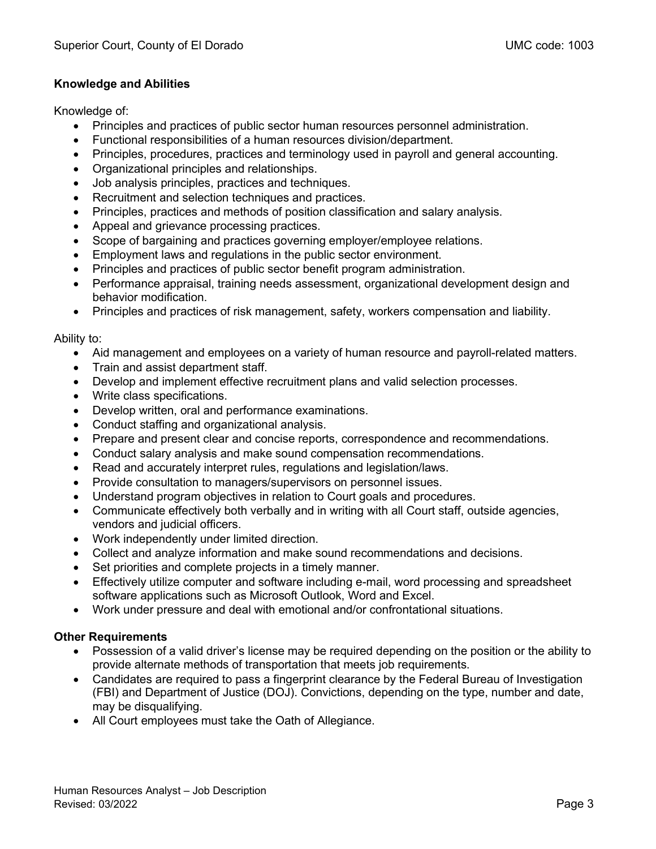## **Knowledge and Abilities**

Knowledge of:

- Principles and practices of public sector human resources personnel administration.
- Functional responsibilities of a human resources division/department.
- Principles, procedures, practices and terminology used in payroll and general accounting.
- Organizational principles and relationships.
- Job analysis principles, practices and techniques.
- Recruitment and selection techniques and practices.
- Principles, practices and methods of position classification and salary analysis.
- Appeal and grievance processing practices.
- Scope of bargaining and practices governing employer/employee relations.
- Employment laws and regulations in the public sector environment.
- Principles and practices of public sector benefit program administration.
- Performance appraisal, training needs assessment, organizational development design and behavior modification.
- Principles and practices of risk management, safety, workers compensation and liability.

#### Ability to:

- Aid management and employees on a variety of human resource and payroll-related matters.
- Train and assist department staff.
- Develop and implement effective recruitment plans and valid selection processes.
- Write class specifications.
- Develop written, oral and performance examinations.
- Conduct staffing and organizational analysis.
- Prepare and present clear and concise reports, correspondence and recommendations.
- Conduct salary analysis and make sound compensation recommendations.
- Read and accurately interpret rules, regulations and legislation/laws.
- Provide consultation to managers/supervisors on personnel issues.
- Understand program objectives in relation to Court goals and procedures.
- Communicate effectively both verbally and in writing with all Court staff, outside agencies, vendors and judicial officers.
- Work independently under limited direction.
- Collect and analyze information and make sound recommendations and decisions.
- Set priorities and complete projects in a timely manner.
- Effectively utilize computer and software including e-mail, word processing and spreadsheet software applications such as Microsoft Outlook, Word and Excel.
- Work under pressure and deal with emotional and/or confrontational situations.

# **Other Requirements**

- Possession of a valid driver's license may be required depending on the position or the ability to provide alternate methods of transportation that meets job requirements.
- Candidates are required to pass a fingerprint clearance by the Federal Bureau of Investigation (FBI) and Department of Justice (DOJ). Convictions, depending on the type, number and date, may be disqualifying.
- All Court employees must take the Oath of Allegiance.